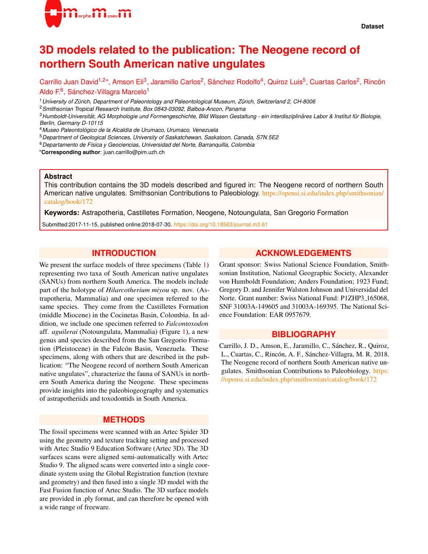

# **3D models related to the publication: The Neogene record of northern South American native ungulates**

Carrillo Juan David<sup>1,2\*</sup>, Amson Eli<sup>3</sup>, Jaramillo Carlos<sup>2</sup>, Sánchez Rodolfo<sup>4</sup>, Quiroz Luis<sup>5</sup>, Cuartas Carlos<sup>2</sup>, Rincón Aldo F.<sup>6</sup>, Sánchez-Villagra Marcelo<sup>1</sup>

<sup>1</sup>*University of Zurich, Department of Paleontology and Paleontological Museum, Z ¨ urich, Switzerland 2, CH-8006 ¨*

<sup>2</sup>*Smithsonian Tropical Research Institute, Box 0843-03092, Balboa-Ancon, Panama*

<sup>3</sup>*Humboldt-Universitat, AG Morphologie und Formengeschichte, Bild Wissen Gestaltung - ein interdisziplin ¨ ares Labor & Institut f ¨ ur Biologie, ¨ Berlin, Germany D-10115*

<sup>4</sup>*Museo Paleontologico de la Alcald ´ ´ıa de Urumaco, Urumaco, Venezuela*

<sup>5</sup>*Department of Geological Sciences, University of Saskatchewan, Saskatoon, Canada, S7N 5E2*

<sup>6</sup>*Departamento de F´ısica y Geociencias, Universidad del Norte, Barranquilla, Colombia*

\***Corresponding author**: juan.carrillo@pim.uzh.ch

#### **Abstract**

This contribution contains the 3D models described and figured in: The Neogene record of northern South American native ungulates. Smithsonian Contributions to Paleobiology. [https://opensi.si.edu/index.php/smithsonian/](https://opensi.si.edu/index.php/smithsonian/catalog/book/172) [catalog/book/172](https://opensi.si.edu/index.php/smithsonian/catalog/book/172)

**Keywords:** Astrapotheria, Castilletes Formation, Neogene, Notoungulata, San Gregorio Formation

Submitted:2017-11-15, published online:2018-07-30. <https://doi.org/10.18563/journal.m3.61>

## **INTRODUCTION**

We present the surface models of three specimens (Table [1\)](#page-1-0) representing two taxa of South American native ungulates (SANUs) from northern South America. The models include part of the holotype of *Hilarcotherium miyou* sp. nov. (Astrapotheria, Mammalia) and one specimen referred to the same species. They come from the Castilletes Formation (middle Miocene) in the Cocinetas Basin, Colombia. In addition, we include one specimen referred to *Falcontoxodon* aff. *aguilerai* (Notoungulata, Mammalia) (Figure [1\)](#page-1-1), a new genus and species described from the San Gregorio Formation (Pleistocene) in the Falcón Basin, Venezuela. These specimens, along with others that are described in the publication: "The Neogene record of northern South American native ungulates", characterize the fauna of SANUs in northern South America during the Neogene. These specimens provide insights into the paleobiogeography and systematics of astrapotheriids and toxodontids in South America.

### **METHODS**

The fossil specimens were scanned with an Artec Spider 3D using the geometry and texture tracking setting and processed with Artec Studio 9 Education Software (Artec 3D). The 3D surfaces scans were aligned semi-automatically with Artec Studio 9. The aligned scans were converted into a single coordinate system using the Global Registration function (texture and geometry) and then fused into a single 3D model with the Fast Fusion function of Artec Studio. The 3D surface models are provided in .ply format, and can therefore be opened with a wide range of freeware.

## **ACKNOWLEDGEMENTS**

Grant sponsor: Swiss National Science Foundation, Smithsonian Institution, National Geographic Society, Alexander von Humboldt Foundation; Anders Foundation; 1923 Fund; Gregory D. and Jennifer Walston Johnson and Universidad del Norte. Grant number: Swiss National Fund: P1ZHP3<sub>-165068</sub>, SNF 31003A-149605 and 31003A-169395. The National Science Foundation: EAR 0957679.

## **BIBLIOGRAPHY**

Carrillo, J. D., Amson, E., Jaramillo, C., Sánchez, R., Quiroz, L., Cuartas, C., Rincón, A. F., Sánchez-Villagra, M. R. 2018. The Neogene record of northern South American native ungulates. Smithsonian Contributions to Paleobiology. [https:](https://opensi.si.edu/index.php/smithsonian/catalog/book/172) [//opensi.si.edu/index.php/smithsonian/catalog/book/172](https://opensi.si.edu/index.php/smithsonian/catalog/book/172)